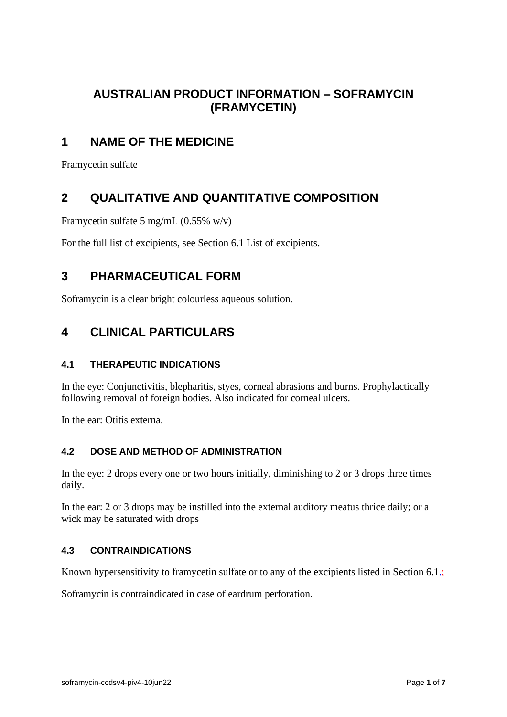# **AUSTRALIAN PRODUCT INFORMATION – SOFRAMYCIN (FRAMYCETIN)**

# **1 NAME OF THE MEDICINE**

Framycetin sulfate

# **2 QUALITATIVE AND QUANTITATIVE COMPOSITION**

Framycetin sulfate 5 mg/mL (0.55% w/v)

For the full list of excipients, see Section 6.1 List of excipients.

# **3 PHARMACEUTICAL FORM**

Soframycin is a clear bright colourless aqueous solution.

# **4 CLINICAL PARTICULARS**

### **4.1 THERAPEUTIC INDICATIONS**

In the eye: Conjunctivitis, blepharitis, styes, corneal abrasions and burns. Prophylactically following removal of foreign bodies. Also indicated for corneal ulcers.

In the ear: Otitis externa.

### **4.2 DOSE AND METHOD OF ADMINISTRATION**

In the eye: 2 drops every one or two hours initially, diminishing to 2 or 3 drops three times daily.

In the ear: 2 or 3 drops may be instilled into the external auditory meatus thrice daily; or a wick may be saturated with drops

### **4.3 CONTRAINDICATIONS**

Known hypersensitivity to framycetin sulfate or to any of the excipients listed in Section 6.1 $\frac{1}{2}$ ;

Soframycin is contraindicated in case of eardrum perforation.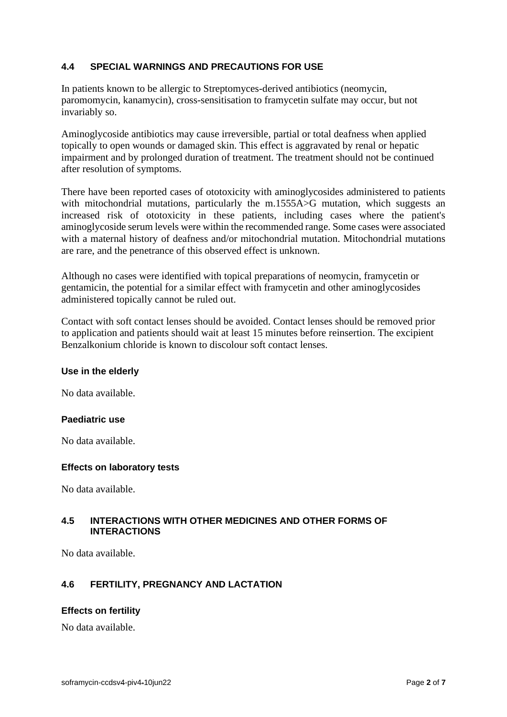#### **4.4 SPECIAL WARNINGS AND PRECAUTIONS FOR USE**

In patients known to be allergic to Streptomyces-derived antibiotics (neomycin, paromomycin, kanamycin), cross-sensitisation to framycetin sulfate may occur, but not invariably so.

Aminoglycoside antibiotics may cause irreversible, partial or total deafness when applied topically to open wounds or damaged skin. This effect is aggravated by renal or hepatic impairment and by prolonged duration of treatment. The treatment should not be continued after resolution of symptoms.

There have been reported cases of ototoxicity with aminoglycosides administered to patients with mitochondrial mutations, particularly the m.1555A>G mutation, which suggests an increased risk of ototoxicity in these patients, including cases where the patient's aminoglycoside serum levels were within the recommended range. Some cases were associated with a maternal history of deafness and/or mitochondrial mutation. Mitochondrial mutations are rare, and the penetrance of this observed effect is unknown.

Although no cases were identified with topical preparations of neomycin, framycetin or gentamicin, the potential for a similar effect with framycetin and other aminoglycosides administered topically cannot be ruled out.

Contact with soft contact lenses should be avoided. Contact lenses should be removed prior to application and patients should wait at least 15 minutes before reinsertion. The excipient Benzalkonium chloride is known to discolour soft contact lenses.

#### **Use in the elderly**

No data available.

#### **Paediatric use**

No data available.

#### **Effects on laboratory tests**

No data available.

#### **4.5 INTERACTIONS WITH OTHER MEDICINES AND OTHER FORMS OF INTERACTIONS**

No data available.

### **4.6 FERTILITY, PREGNANCY AND LACTATION**

#### **Effects on fertility**

No data available.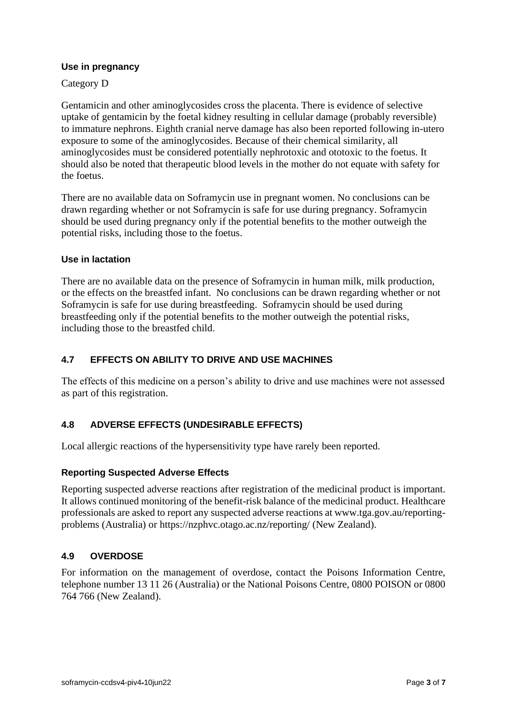#### **Use in pregnancy**

#### Category D

Gentamicin and other aminoglycosides cross the placenta. There is evidence of selective uptake of gentamicin by the foetal kidney resulting in cellular damage (probably reversible) to immature nephrons. Eighth cranial nerve damage has also been reported following in-utero exposure to some of the aminoglycosides. Because of their chemical similarity, all aminoglycosides must be considered potentially nephrotoxic and ototoxic to the foetus. It should also be noted that therapeutic blood levels in the mother do not equate with safety for the foetus.

There are no available data on Soframycin use in pregnant women. No conclusions can be drawn regarding whether or not Soframycin is safe for use during pregnancy. Soframycin should be used during pregnancy only if the potential benefits to the mother outweigh the potential risks, including those to the foetus.

#### **Use in lactation**

There are no available data on the presence of Soframycin in human milk, milk production, or the effects on the breastfed infant. No conclusions can be drawn regarding whether or not Soframycin is safe for use during breastfeeding. Soframycin should be used during breastfeeding only if the potential benefits to the mother outweigh the potential risks, including those to the breastfed child.

#### **4.7 EFFECTS ON ABILITY TO DRIVE AND USE MACHINES**

The effects of this medicine on a person's ability to drive and use machines were not assessed as part of this registration.

#### **4.8 ADVERSE EFFECTS (UNDESIRABLE EFFECTS)**

Local allergic reactions of the hypersensitivity type have rarely been reported.

#### **Reporting Suspected Adverse Effects**

Reporting suspected adverse reactions after registration of the medicinal product is important. It allows continued monitoring of the benefit-risk balance of the medicinal product. Healthcare professionals are asked to report any suspected adverse reactions at [www.tga.gov.au/reporting](http://www.tga.gov.au/reporting-problems)[problems](http://www.tga.gov.au/reporting-problems) (Australia) or<https://nzphvc.otago.ac.nz/reporting/> (New Zealand).

#### **4.9 OVERDOSE**

For information on the management of overdose, contact the Poisons Information Centre, telephone number 13 11 26 (Australia) or the National Poisons Centre, 0800 POISON or 0800 764 766 (New Zealand).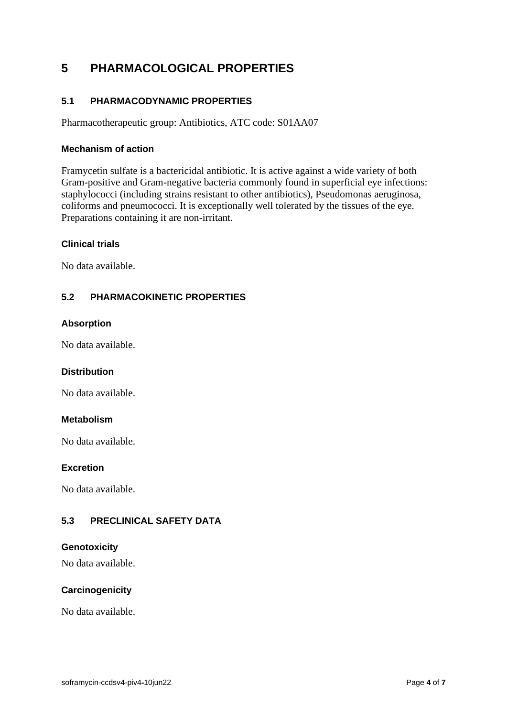# **5 PHARMACOLOGICAL PROPERTIES**

### **5.1 PHARMACODYNAMIC PROPERTIES**

Pharmacotherapeutic group: Antibiotics, ATC code: S01AA07

#### **Mechanism of action**

Framycetin sulfate is a bactericidal antibiotic. It is active against a wide variety of both Gram-positive and Gram-negative bacteria commonly found in superficial eye infections: staphylococci (including strains resistant to other antibiotics), Pseudomonas aeruginosa, coliforms and pneumococci. It is exceptionally well tolerated by the tissues of the eye. Preparations containing it are non-irritant.

#### **Clinical trials**

No data available.

#### **5.2 PHARMACOKINETIC PROPERTIES**

#### **Absorption**

No data available.

#### **Distribution**

No data available.

#### **Metabolism**

No data available.

#### **Excretion**

No data available.

### **5.3 PRECLINICAL SAFETY DATA**

#### **Genotoxicity**

No data available.

#### **Carcinogenicity**

No data available.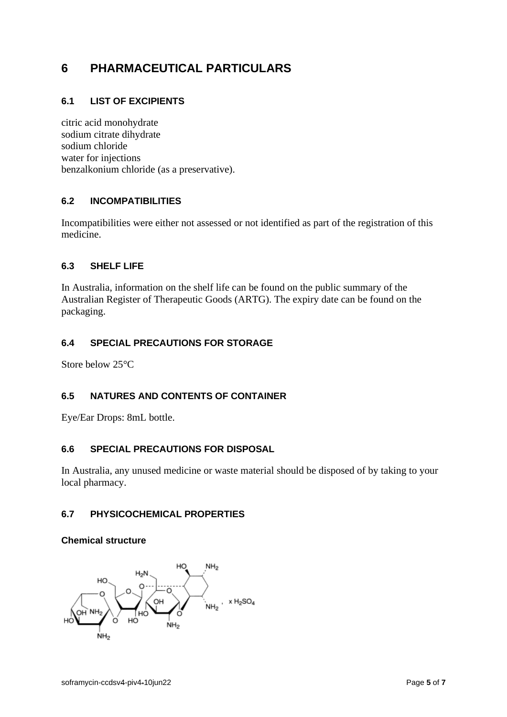# **6 PHARMACEUTICAL PARTICULARS**

### **6.1 LIST OF EXCIPIENTS**

citric acid monohydrate sodium citrate dihydrate sodium chloride water for injections benzalkonium chloride (as a preservative).

### **6.2 INCOMPATIBILITIES**

Incompatibilities were either not assessed or not identified as part of the registration of this medicine.

### **6.3 SHELF LIFE**

In Australia, information on the shelf life can be found on the public summary of the Australian Register of Therapeutic Goods (ARTG). The expiry date can be found on the packaging.

### **6.4 SPECIAL PRECAUTIONS FOR STORAGE**

Store below 25°C

#### **6.5 NATURES AND CONTENTS OF CONTAINER**

Eye/Ear Drops: 8mL bottle.

#### **6.6 SPECIAL PRECAUTIONS FOR DISPOSAL**

In Australia, any unused medicine or waste material should be disposed of by taking to your local pharmacy.

#### **6.7 PHYSICOCHEMICAL PROPERTIES**

#### **Chemical structure**

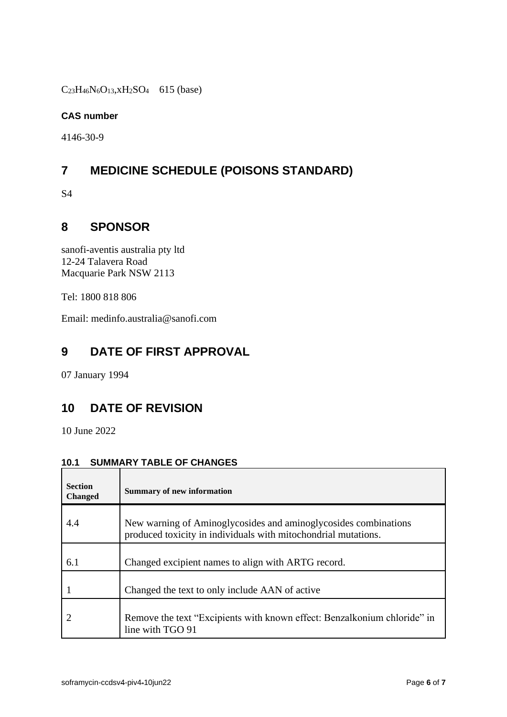$C_{23}H_{46}N_6O_{13}$ , xH<sub>2</sub>SO<sub>4</sub> 615 (base)

### **CAS number**

4146-30-9

# **7 MEDICINE SCHEDULE (POISONS STANDARD)**

S4

# **8 SPONSOR**

sanofi-aventis australia pty ltd 12-24 Talavera Road Macquarie Park NSW 2113

Tel: 1800 818 806

Email: medinfo.australia@sanofi.com

# **9 DATE OF FIRST APPROVAL**

07 January 1994

## **10 DATE OF REVISION**

10 June 2022

# **10.1 SUMMARY TABLE OF CHANGES**

| <b>Section</b><br><b>Changed</b> | <b>Summary of new information</b>                                                                                                 |
|----------------------------------|-----------------------------------------------------------------------------------------------------------------------------------|
| 4.4                              | New warning of Aminoglycosides and aminoglycosides combinations<br>produced toxicity in individuals with mitochondrial mutations. |
| 6.1                              | Changed excipient names to align with ARTG record.                                                                                |
|                                  | Changed the text to only include AAN of active                                                                                    |
|                                  | Remove the text "Excipients with known effect: Benzalkonium chloride" in<br>line with TGO 91                                      |